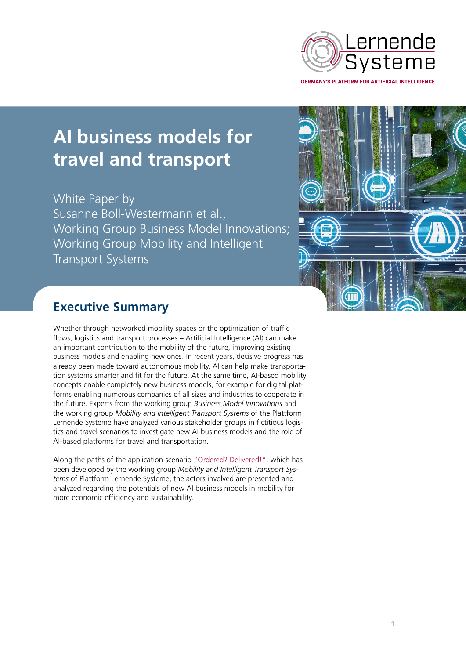

# **AI business models for travel and transport**

White Paper by Susanne Boll-Westermann et al., Working Group Business Model Innovations; Working Group Mobility and Intelligent Transport Systems



# **Executive Summary**

Whether through networked mobility spaces or the optimization of traffic flows, logistics and transport processes – Artificial Intelligence (AI) can make an important contribution to the mobility of the future, improving existing business models and enabling new ones. In recent years, decisive progress has already been made toward autonomous mobility. AI can help make transportation systems smarter and fit for the future. At the same time, AI-based mobility concepts enable completely new business models, for example for digital platforms enabling numerous companies of all sizes and industries to cooperate in the future. Experts from the working group *Business Model Innovations* and the working group *Mobility and Intelligent Transport Systems* of the Plattform Lernende Systeme have analyzed various stakeholder groups in fictitious logistics and travel scenarios to investigate new AI business models and the role of AI-based platforms for travel and transportation.

Along the paths of the application scenario ["Ordered? Delivered!"](https://www.plattform-lernende-systeme.de/application-scenarios.html?file=files/Downloads/Publikationen_EN/Factsheet_WG5_logistics_1_bis_5.pdf), which has been developed by the working group *Mobility and Intelligent Transport Systems* of Plattform Lernende Systeme, the actors involved are presented and analyzed regarding the potentials of new AI business models in mobility for more economic efficiency and sustainability.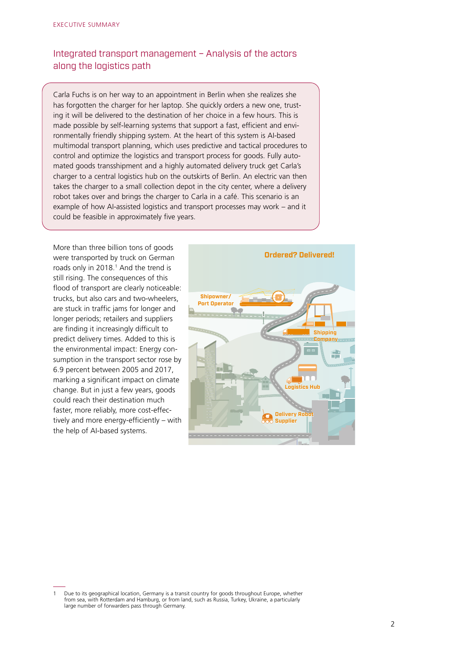## Integrated transport management – Analysis of the actors along the logistics path

Carla Fuchs is on her way to an appointment in Berlin when she realizes she has forgotten the charger for her laptop. She quickly orders a new one, trusting it will be delivered to the destination of her choice in a few hours. This is made possible by self-learning systems that support a fast, efficient and environmentally friendly shipping system. At the heart of this system is AI-based multimodal transport planning, which uses predictive and tactical procedures to control and optimize the logistics and transport process for goods. Fully automated goods transshipment and a highly automated delivery truck get Carla's charger to a central logistics hub on the outskirts of Berlin. An electric van then takes the charger to a small collection depot in the city center, where a delivery robot takes over and brings the charger to Carla in a café. This scenario is an example of how AI-assisted logistics and transport processes may work – and it could be feasible in approximately five years.

More than three billion tons of goods were transported by truck on German roads only in 2018.<sup>1</sup> And the trend is still rising. The consequences of this flood of transport are clearly noticeable: trucks, but also cars and two-wheelers, are stuck in traffic jams for longer and longer periods; retailers and suppliers are finding it increasingly difficult to predict delivery times. Added to this is the environmental impact: Energy consumption in the transport sector rose by 6.9 percent between 2005 and 2017, marking a significant impact on climate change. But in just a few years, goods could reach their destination much faster, more reliably, more cost-effectively and more energy-efficiently – with the help of AI-based systems.



Due to its geographical location, Germany is a transit country for goods throughout Europe, whether from sea, with Rotterdam and Hamburg, or from land, such as Russia, Turkey, Ukraine, a particularly large number of forwarders pass through Germany.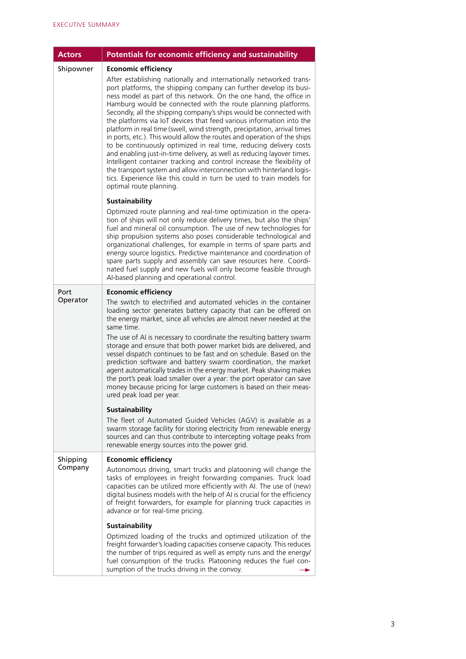| <b>Actors</b>       | Potentials for economic efficiency and sustainability                                                                                                                                                                                                                                                                                                                                                                                                                                                                                                                                                                                                                                                                                                                                                                                                                                                                                                                                                                     |
|---------------------|---------------------------------------------------------------------------------------------------------------------------------------------------------------------------------------------------------------------------------------------------------------------------------------------------------------------------------------------------------------------------------------------------------------------------------------------------------------------------------------------------------------------------------------------------------------------------------------------------------------------------------------------------------------------------------------------------------------------------------------------------------------------------------------------------------------------------------------------------------------------------------------------------------------------------------------------------------------------------------------------------------------------------|
| Shipowner           | <b>Economic efficiency</b><br>After establishing nationally and internationally networked trans-<br>port platforms, the shipping company can further develop its busi-<br>ness model as part of this network. On the one hand, the office in<br>Hamburg would be connected with the route planning platforms.<br>Secondly, all the shipping company's ships would be connected with<br>the platforms via IoT devices that feed various information into the<br>platform in real time (swell, wind strength, precipitation, arrival times<br>in ports, etc.). This would allow the routes and operation of the ships<br>to be continuously optimized in real time, reducing delivery costs<br>and enabling just-in-time delivery, as well as reducing layover times.<br>Intelligent container tracking and control increase the flexibility of<br>the transport system and allow interconnection with hinterland logis-<br>tics. Experience like this could in turn be used to train models for<br>optimal route planning. |
|                     | Sustainability<br>Optimized route planning and real-time optimization in the opera-<br>tion of ships will not only reduce delivery times, but also the ships'<br>fuel and mineral oil consumption. The use of new technologies for<br>ship propulsion systems also poses considerable technological and<br>organizational challenges, for example in terms of spare parts and<br>energy source logistics. Predictive maintenance and coordination of<br>spare parts supply and assembly can save resources here. Coordi-<br>nated fuel supply and new fuels will only become feasible through<br>Al-based planning and operational control.                                                                                                                                                                                                                                                                                                                                                                               |
| Port<br>Operator    | <b>Economic efficiency</b><br>The switch to electrified and automated vehicles in the container<br>loading sector generates battery capacity that can be offered on<br>the energy market, since all vehicles are almost never needed at the<br>same time.<br>The use of AI is necessary to coordinate the resulting battery swarm<br>storage and ensure that both power market bids are delivered, and<br>vessel dispatch continues to be fast and on schedule. Based on the<br>prediction software and battery swarm coordination, the market<br>agent automatically trades in the energy market. Peak shaving makes<br>the port's peak load smaller over a year: the port operator can save<br>money because pricing for large customers is based on their meas-<br>ured peak load per year.                                                                                                                                                                                                                            |
|                     | <b>Sustainability</b><br>The fleet of Automated Guided Vehicles (AGV) is available as a<br>swarm storage facility for storing electricity from renewable energy<br>sources and can thus contribute to intercepting voltage peaks from<br>renewable energy sources into the power grid.                                                                                                                                                                                                                                                                                                                                                                                                                                                                                                                                                                                                                                                                                                                                    |
| Shipping<br>Company | <b>Economic efficiency</b><br>Autonomous driving, smart trucks and platooning will change the<br>tasks of employees in freight forwarding companies. Truck load<br>capacities can be utilized more efficiently with AI. The use of (new)<br>digital business models with the help of AI is crucial for the efficiency<br>of freight forwarders, for example for planning truck capacities in<br>advance or for real-time pricing.                                                                                                                                                                                                                                                                                                                                                                                                                                                                                                                                                                                         |
|                     | <b>Sustainability</b><br>Optimized loading of the trucks and optimized utilization of the<br>freight forwarder's loading capacities conserve capacity. This reduces<br>the number of trips required as well as empty runs and the energy/<br>fuel consumption of the trucks. Platooning reduces the fuel con-<br>sumption of the trucks driving in the convoy.                                                                                                                                                                                                                                                                                                                                                                                                                                                                                                                                                                                                                                                            |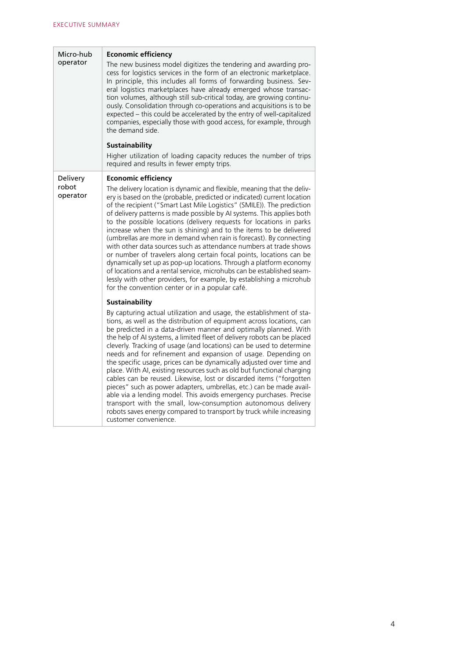| Micro-hub<br>operator | <b>Economic efficiency</b>                                                                                                                                                                                                                                                                                                                                                                                                                                                                                                                                                                                                                                                                                                                                                                                                                                                                                                                                                    |
|-----------------------|-------------------------------------------------------------------------------------------------------------------------------------------------------------------------------------------------------------------------------------------------------------------------------------------------------------------------------------------------------------------------------------------------------------------------------------------------------------------------------------------------------------------------------------------------------------------------------------------------------------------------------------------------------------------------------------------------------------------------------------------------------------------------------------------------------------------------------------------------------------------------------------------------------------------------------------------------------------------------------|
|                       | The new business model digitizes the tendering and awarding pro-<br>cess for logistics services in the form of an electronic marketplace.<br>In principle, this includes all forms of forwarding business. Sev-<br>eral logistics marketplaces have already emerged whose transac-<br>tion volumes, although still sub-critical today, are growing continu-<br>ously. Consolidation through co-operations and acquisitions is to be<br>expected - this could be accelerated by the entry of well-capitalized<br>companies, especially those with good access, for example, through<br>the demand side.                                                                                                                                                                                                                                                                                                                                                                        |
|                       | <b>Sustainability</b>                                                                                                                                                                                                                                                                                                                                                                                                                                                                                                                                                                                                                                                                                                                                                                                                                                                                                                                                                         |
|                       | Higher utilization of loading capacity reduces the number of trips<br>required and results in fewer empty trips.                                                                                                                                                                                                                                                                                                                                                                                                                                                                                                                                                                                                                                                                                                                                                                                                                                                              |
| Delivery              | <b>Economic efficiency</b>                                                                                                                                                                                                                                                                                                                                                                                                                                                                                                                                                                                                                                                                                                                                                                                                                                                                                                                                                    |
| robot<br>operator     | The delivery location is dynamic and flexible, meaning that the deliv-<br>ery is based on the (probable, predicted or indicated) current location<br>of the recipient ("Smart Last Mile Logistics" (SMILE)). The prediction<br>of delivery patterns is made possible by AI systems. This applies both<br>to the possible locations (delivery requests for locations in parks<br>increase when the sun is shining) and to the items to be delivered<br>(umbrellas are more in demand when rain is forecast). By connecting<br>with other data sources such as attendance numbers at trade shows<br>or number of travelers along certain focal points, locations can be<br>dynamically set up as pop-up locations. Through a platform economy<br>of locations and a rental service, microhubs can be established seam-<br>lessly with other providers, for example, by establishing a microhub<br>for the convention center or in a popular café.                               |
|                       | <b>Sustainability</b>                                                                                                                                                                                                                                                                                                                                                                                                                                                                                                                                                                                                                                                                                                                                                                                                                                                                                                                                                         |
|                       | By capturing actual utilization and usage, the establishment of sta-<br>tions, as well as the distribution of equipment across locations, can<br>be predicted in a data-driven manner and optimally planned. With<br>the help of AI systems, a limited fleet of delivery robots can be placed<br>cleverly. Tracking of usage (and locations) can be used to determine<br>needs and for refinement and expansion of usage. Depending on<br>the specific usage, prices can be dynamically adjusted over time and<br>place. With AI, existing resources such as old but functional charging<br>cables can be reused. Likewise, lost or discarded items ("forgotten<br>pieces" such as power adapters, umbrellas, etc.) can be made avail-<br>able via a lending model. This avoids emergency purchases. Precise<br>transport with the small, low-consumption autonomous delivery<br>robots saves energy compared to transport by truck while increasing<br>customer convenience. |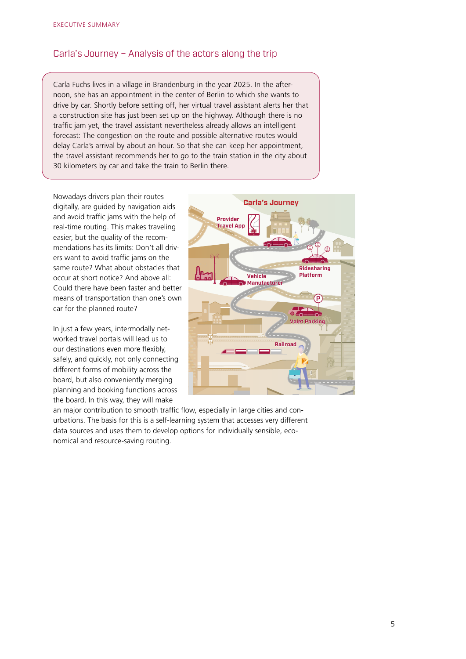### Carla's Journey – Analysis of the actors along the trip

Carla Fuchs lives in a village in Brandenburg in the year 2025. In the afternoon, she has an appointment in the center of Berlin to which she wants to drive by car. Shortly before setting off, her virtual travel assistant alerts her that a construction site has just been set up on the highway. Although there is no traffic jam yet, the travel assistant nevertheless already allows an intelligent forecast: The congestion on the route and possible alternative routes would delay Carla's arrival by about an hour. So that she can keep her appointment, the travel assistant recommends her to go to the train station in the city about 30 kilometers by car and take the train to Berlin there.

Nowadays drivers plan their routes digitally, are guided by navigation aids and avoid traffic jams with the help of real-time routing. This makes traveling easier, but the quality of the recommendations has its limits: Don't all drivers want to avoid traffic jams on the same route? What about obstacles that occur at short notice? And above all: Could there have been faster and better means of transportation than one's own car for the planned route?

In just a few years, intermodally networked travel portals will lead us to our destinations even more flexibly, safely, and quickly, not only connecting different forms of mobility across the board, but also conveniently merging planning and booking functions across the board. In this way, they will make



an major contribution to smooth traffic flow, especially in large cities and conurbations. The basis for this is a self-learning system that accesses very different data sources and uses them to develop options for individually sensible, economical and resource-saving routing.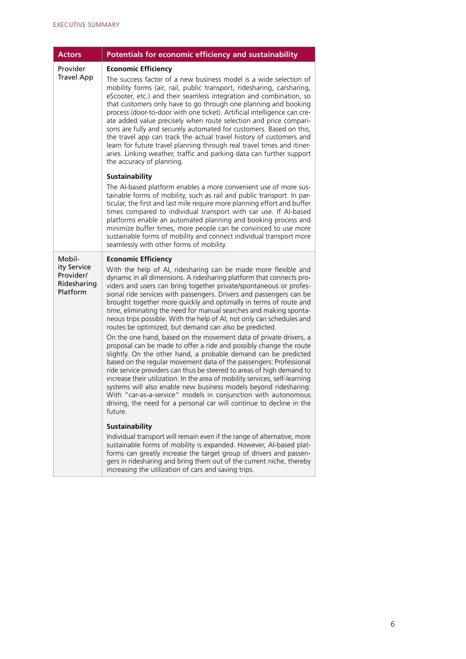| <b>Actors</b>                                                 | <b>Potentials for economic efficiency and sustainability</b>                                                                                                                                                                                                                                                                                                                                                                                                                                                                                                                                                                                                                                                                                                                                                                                                                                                                                                                                                                                                                                                                                                                                                                                                                                                                                                                                                                                                                                                                                                                                                                                       |
|---------------------------------------------------------------|----------------------------------------------------------------------------------------------------------------------------------------------------------------------------------------------------------------------------------------------------------------------------------------------------------------------------------------------------------------------------------------------------------------------------------------------------------------------------------------------------------------------------------------------------------------------------------------------------------------------------------------------------------------------------------------------------------------------------------------------------------------------------------------------------------------------------------------------------------------------------------------------------------------------------------------------------------------------------------------------------------------------------------------------------------------------------------------------------------------------------------------------------------------------------------------------------------------------------------------------------------------------------------------------------------------------------------------------------------------------------------------------------------------------------------------------------------------------------------------------------------------------------------------------------------------------------------------------------------------------------------------------------|
| Provider<br><b>Travel App</b>                                 | <b>Economic Efficiency</b><br>The success factor of a new business model is a wide selection of<br>mobility forms (air, rail, public transport, ridesharing, carsharing,<br>eScooter, etc.) and their seamless integration and combination, so<br>that customers only have to go through one planning and booking<br>process (door-to-door with one ticket). Artificial intelligence can cre-<br>ate added value precisely when route selection and price compari-<br>sons are fully and securely automated for customers. Based on this,<br>the travel app can track the actual travel history of customers and<br>learn for future travel planning through real travel times and itiner-<br>aries. Linking weather, traffic and parking data can further support<br>the accuracy of planning.                                                                                                                                                                                                                                                                                                                                                                                                                                                                                                                                                                                                                                                                                                                                                                                                                                                    |
|                                                               | <b>Sustainability</b><br>The AI-based platform enables a more convenient use of more sus-<br>tainable forms of mobility, such as rail and public transport. In par-<br>ticular, the first and last mile require more planning effort and buffer<br>times compared to individual transport with car use. If AI-based<br>platforms enable an automated planning and booking process and<br>minimize buffer times, more people can be convinced to use more<br>sustainable forms of mobility and connect individual transport more<br>seamlessly with other forms of mobility.                                                                                                                                                                                                                                                                                                                                                                                                                                                                                                                                                                                                                                                                                                                                                                                                                                                                                                                                                                                                                                                                        |
| Mobil-<br>ity Service<br>Provider/<br>Ridesharing<br>Platform | <b>Economic Efficiency</b><br>With the help of AI, ridesharing can be made more flexible and<br>dynamic in all dimensions. A ridesharing platform that connects pro-<br>viders and users can bring together private/spontaneous or profes-<br>sional ride services with passengers. Drivers and passengers can be<br>brought together more quickly and optimally in terms of route and<br>time, eliminating the need for manual searches and making sponta-<br>neous trips possible. With the help of AI, not only can schedules and<br>routes be optimized, but demand can also be predicted.<br>On the one hand, based on the movement data of private drivers, a<br>proposal can be made to offer a ride and possibly change the route<br>slightly. On the other hand, a probable demand can be predicted<br>based on the regular movement data of the passengers: Professional<br>ride service providers can thus be steered to areas of high demand to<br>increase their utilization. In the area of mobility services, self-learning<br>systems will also enable new business models beyond ridesharing:<br>With "car-as-a-service" models in conjunction with autonomous<br>driving, the need for a personal car will continue to decline in the<br>future.<br><b>Sustainability</b><br>Individual transport will remain even if the range of alternative, more<br>sustainable forms of mobility is expanded. However, AI-based plat-<br>forms can greatly increase the target group of drivers and passen-<br>gers in ridesharing and bring them out of the current niche, thereby<br>increasing the utilization of cars and saving trips. |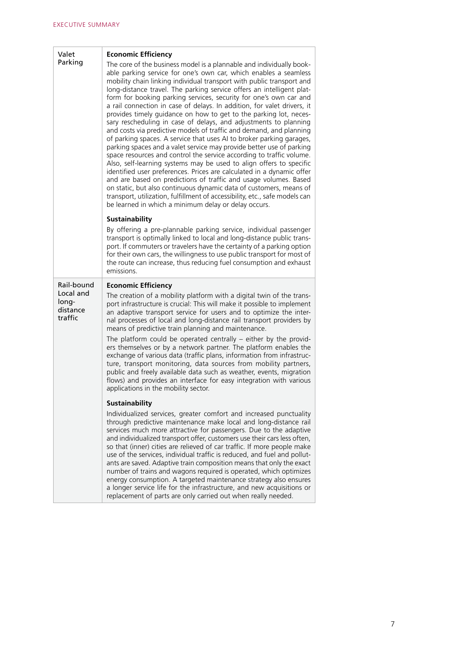| Valet<br>Parking                          | <b>Economic Efficiency</b>                                                                                                                                                                                                                                                                                                                                                                                                                                                                                                                                                                                                                                                                                                                                                                                                                                                                                                                                                                                                                                                                                                                                                                                                                                                                                          |
|-------------------------------------------|---------------------------------------------------------------------------------------------------------------------------------------------------------------------------------------------------------------------------------------------------------------------------------------------------------------------------------------------------------------------------------------------------------------------------------------------------------------------------------------------------------------------------------------------------------------------------------------------------------------------------------------------------------------------------------------------------------------------------------------------------------------------------------------------------------------------------------------------------------------------------------------------------------------------------------------------------------------------------------------------------------------------------------------------------------------------------------------------------------------------------------------------------------------------------------------------------------------------------------------------------------------------------------------------------------------------|
|                                           | The core of the business model is a plannable and individually book-<br>able parking service for one's own car, which enables a seamless<br>mobility chain linking individual transport with public transport and<br>long-distance travel. The parking service offers an intelligent plat-<br>form for booking parking services, security for one's own car and<br>a rail connection in case of delays. In addition, for valet drivers, it<br>provides timely guidance on how to get to the parking lot, neces-<br>sary rescheduling in case of delays, and adjustments to planning<br>and costs via predictive models of traffic and demand, and planning<br>of parking spaces. A service that uses AI to broker parking garages,<br>parking spaces and a valet service may provide better use of parking<br>space resources and control the service according to traffic volume.<br>Also, self-learning systems may be used to align offers to specific<br>identified user preferences. Prices are calculated in a dynamic offer<br>and are based on predictions of traffic and usage volumes. Based<br>on static, but also continuous dynamic data of customers, means of<br>transport, utilization, fulfillment of accessibility, etc., safe models can<br>be learned in which a minimum delay or delay occurs. |
|                                           | <b>Sustainability</b>                                                                                                                                                                                                                                                                                                                                                                                                                                                                                                                                                                                                                                                                                                                                                                                                                                                                                                                                                                                                                                                                                                                                                                                                                                                                                               |
|                                           | By offering a pre-plannable parking service, individual passenger<br>transport is optimally linked to local and long-distance public trans-<br>port. If commuters or travelers have the certainty of a parking option<br>for their own cars, the willingness to use public transport for most of<br>the route can increase, thus reducing fuel consumption and exhaust<br>emissions.                                                                                                                                                                                                                                                                                                                                                                                                                                                                                                                                                                                                                                                                                                                                                                                                                                                                                                                                |
| Rail-bound                                | <b>Economic Efficiency</b>                                                                                                                                                                                                                                                                                                                                                                                                                                                                                                                                                                                                                                                                                                                                                                                                                                                                                                                                                                                                                                                                                                                                                                                                                                                                                          |
| Local and<br>long-<br>distance<br>traffic | The creation of a mobility platform with a digital twin of the trans-<br>port infrastructure is crucial: This will make it possible to implement<br>an adaptive transport service for users and to optimize the inter-<br>nal processes of local and long-distance rail transport providers by<br>means of predictive train planning and maintenance.<br>The platform could be operated centrally $-$ either by the provid-<br>ers themselves or by a network partner. The platform enables the<br>exchange of various data (traffic plans, information from infrastruc-<br>ture, transport monitoring, data sources from mobility partners,<br>public and freely available data such as weather, events, migration<br>flows) and provides an interface for easy integration with various<br>applications in the mobility sector.                                                                                                                                                                                                                                                                                                                                                                                                                                                                                   |
|                                           | <b>Sustainability</b>                                                                                                                                                                                                                                                                                                                                                                                                                                                                                                                                                                                                                                                                                                                                                                                                                                                                                                                                                                                                                                                                                                                                                                                                                                                                                               |
|                                           | Individualized services, greater comfort and increased punctuality<br>through predictive maintenance make local and long-distance rail<br>services much more attractive for passengers. Due to the adaptive<br>and individualized transport offer, customers use their cars less often,<br>so that (inner) cities are relieved of car traffic. If more people make<br>use of the services, individual traffic is reduced, and fuel and pollut-<br>ants are saved. Adaptive train composition means that only the exact<br>number of trains and wagons required is operated, which optimizes<br>energy consumption. A targeted maintenance strategy also ensures<br>a longer service life for the infrastructure, and new acquisitions or<br>replacement of parts are only carried out when really needed.                                                                                                                                                                                                                                                                                                                                                                                                                                                                                                           |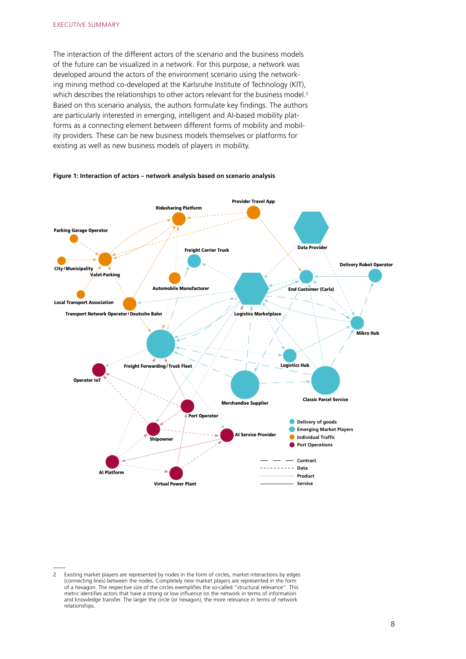The interaction of the different actors of the scenario and the business models of the future can be visualized in a network. For this purpose, a network was developed around the actors of the environment scenario using the networking mining method co-developed at the Karlsruhe Institute of Technology (KIT), which describes the relationships to other actors relevant for the business model.<sup>2</sup> Based on this scenario analysis, the authors formulate key findings. The authors are particularly interested in emerging, intelligent and AI-based mobility platforms as a connecting element between different forms of mobility and mobility providers. These can be new business models themselves or platforms for existing as well as new business models of players in mobility.



#### **Figure 1: Interaction of actors – network analysis based on scenario analysis**

<sup>2</sup> Existing market players are represented by nodes in the form of circles, market interactions by edges (connecting lines) between the nodes. Completely new market players are represented in the form of a hexagon. The respective size of the circles exemplifies the so-called "structural relevance". This metric identifies actors that have a strong or low influence on the network in terms of information and knowledge transfer. The larger the circle (or hexagon), the more relevance in terms of network relationships.